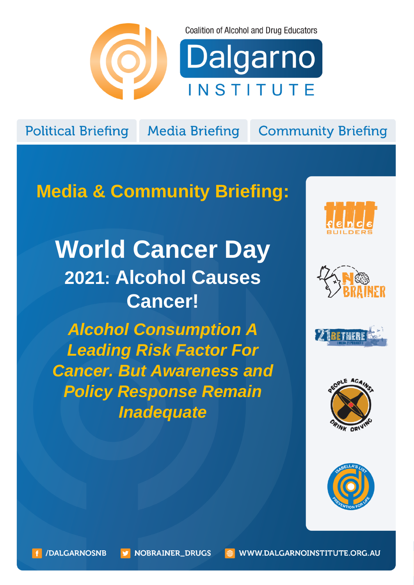

**Coalition of Alcohol and Drug Educators** 



**Political Briefing** 

**Media Briefing** 

**Community Briefing** 

## **Media & Community Briefing:**

# **World Cancer Day 2021: Alcohol Causes Cancer!**

*Alcohol Consumption A Leading Risk Factor For Cancer. But Awareness and Policy Response Remain Inadequate*